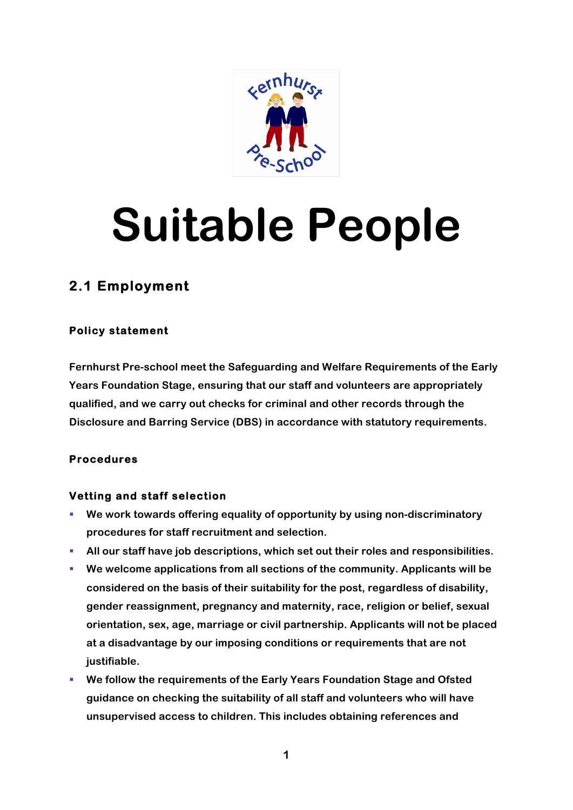

# **Suitable People**

# **2.1 Employment**

## **Policy statement**

**Fernhurst Pre-school meet the Safeguarding and Welfare Requirements of the Early Years Foundation Stage, ensuring that our staff and volunteers are appropriately qualified, and we carry out checks for criminal and other records through the Disclosure and Barring Service (DBS) in accordance with statutory requirements.**

## **Procedures**

#### **Vetting and staff selection**

- § **We work towards offering equality of opportunity by using non-discriminatory procedures for staff recruitment and selection.**
- § **All our staff have job descriptions, which set out their roles and responsibilities.**
- § **We welcome applications from all sections of the community. Applicants will be considered on the basis of their suitability for the post, regardless of disability, gender reassignment, pregnancy and maternity, race, religion or belief, sexual orientation, sex, age, marriage or civil partnership. Applicants will not be placed at a disadvantage by our imposing conditions or requirements that are not justifiable.**
- § **We follow the requirements of the Early Years Foundation Stage and Ofsted guidance on checking the suitability of all staff and volunteers who will have unsupervised access to children. This includes obtaining references and**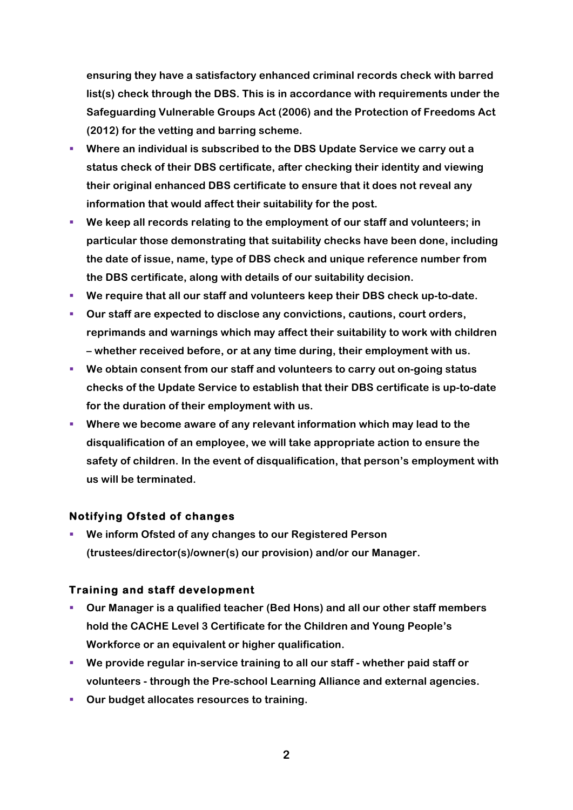**ensuring they have a satisfactory enhanced criminal records check with barred list(s) check through the DBS. This is in accordance with requirements under the Safeguarding Vulnerable Groups Act (2006) and the Protection of Freedoms Act (2012) for the vetting and barring scheme.**

- § **Where an individual is subscribed to the DBS Update Service we carry out a status check of their DBS certificate, after checking their identity and viewing their original enhanced DBS certificate to ensure that it does not reveal any information that would affect their suitability for the post.**
- § **We keep all records relating to the employment of our staff and volunteers; in particular those demonstrating that suitability checks have been done, including the date of issue, name, type of DBS check and unique reference number from the DBS certificate, along with details of our suitability decision.**
- We require that all our staff and volunteers keep their DBS check up-to-date.
- § **Our staff are expected to disclose any convictions, cautions, court orders, reprimands and warnings which may affect their suitability to work with children – whether received before, or at any time during, their employment with us.**
- § **We obtain consent from our staff and volunteers to carry out on-going status checks of the Update Service to establish that their DBS certificate is up-to-date for the duration of their employment with us.**
- § **Where we become aware of any relevant information which may lead to the disqualification of an employee, we will take appropriate action to ensure the safety of children. In the event of disqualification, that person's employment with us will be terminated.**

#### **Notifying Ofsted of changes**

§ **We inform Ofsted of any changes to our Registered Person (trustees/director(s)/owner(s) our provision) and/or our Manager.** 

#### **Training and staff development**

- § **Our Manager is a qualified teacher (Bed Hons) and all our other staff members hold the CACHE Level 3 Certificate for the Children and Young People's Workforce or an equivalent or higher qualification.**
- § **We provide regular in-service training to all our staff - whether paid staff or volunteers - through the Pre-school Learning Alliance and external agencies.**
- Our budget allocates resources to training.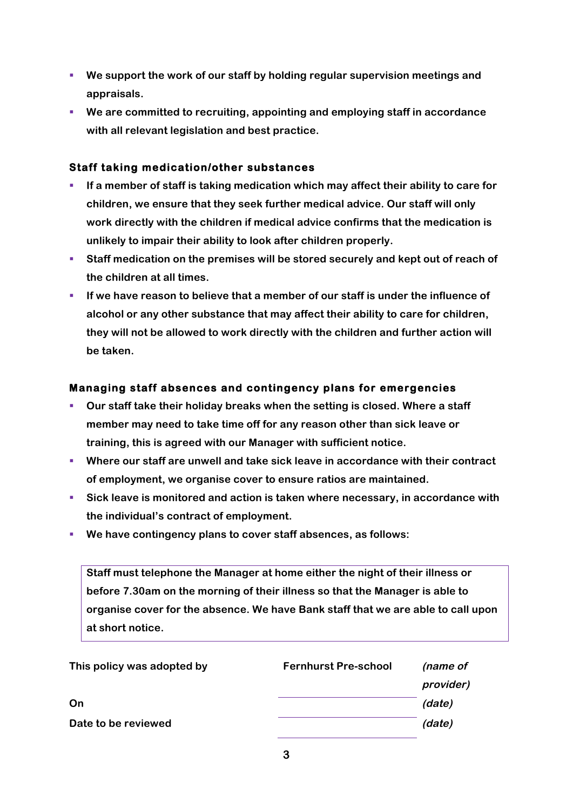- § **We support the work of our staff by holding regular supervision meetings and appraisals.**
- We are committed to recruiting, appointing and employing staff in accordance **with all relevant legislation and best practice.**

#### **Staff taking medication/other substances**

- If a member of staff is taking medication which may affect their ability to care for **children, we ensure that they seek further medical advice. Our staff will only work directly with the children if medical advice confirms that the medication is unlikely to impair their ability to look after children properly.**
- Staff medication on the premises will be stored securely and kept out of reach of **the children at all times.**
- § **If we have reason to believe that a member of our staff is under the influence of alcohol or any other substance that may affect their ability to care for children, they will not be allowed to work directly with the children and further action will be taken.**

#### **Managing staff absences and contingency plans for emergencies**

- § **Our staff take their holiday breaks when the setting is closed. Where a staff member may need to take time off for any reason other than sick leave or training, this is agreed with our Manager with sufficient notice.**
- § **Where our staff are unwell and take sick leave in accordance with their contract of employment, we organise cover to ensure ratios are maintained.**
- Sick leave is monitored and action is taken where necessary, in accordance with **the individual's contract of employment.**
- § **We have contingency plans to cover staff absences, as follows:**

**Staff must telephone the Manager at home either the night of their illness or before 7.30am on the morning of their illness so that the Manager is able to organise cover for the absence. We have Bank staff that we are able to call upon at short notice.**

| This policy was adopted by | <b>Fernhurst Pre-school</b> | (name of  |
|----------------------------|-----------------------------|-----------|
|                            |                             | provider) |
| On                         |                             | (date)    |
| Date to be reviewed        |                             | (date)    |
|                            |                             |           |